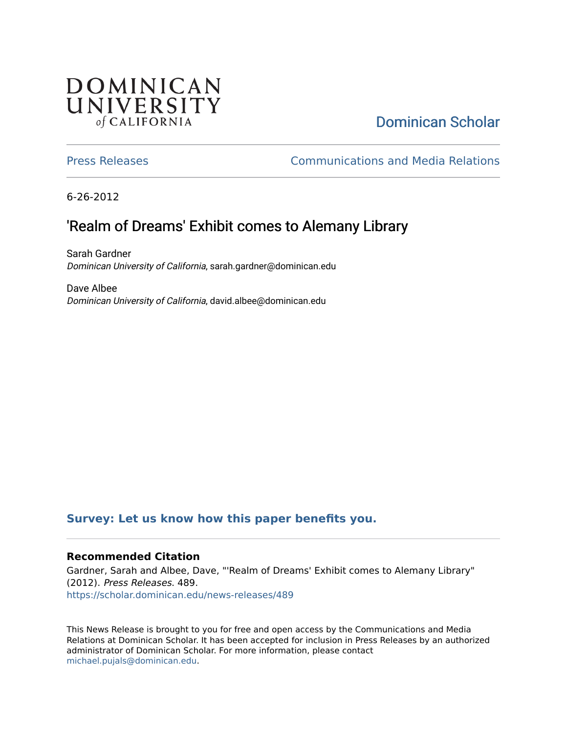## DOMINICAN UNIVERSITY of CALIFORNIA

# [Dominican Scholar](https://scholar.dominican.edu/)

[Press Releases](https://scholar.dominican.edu/news-releases) [Communications and Media Relations](https://scholar.dominican.edu/communications-media) 

6-26-2012

# 'Realm of Dreams' Exhibit comes to Alemany Library

Sarah Gardner Dominican University of California, sarah.gardner@dominican.edu

Dave Albee Dominican University of California, david.albee@dominican.edu

### **[Survey: Let us know how this paper benefits you.](https://dominican.libwizard.com/dominican-scholar-feedback)**

#### **Recommended Citation**

Gardner, Sarah and Albee, Dave, "'Realm of Dreams' Exhibit comes to Alemany Library" (2012). Press Releases. 489. [https://scholar.dominican.edu/news-releases/489](https://scholar.dominican.edu/news-releases/489?utm_source=scholar.dominican.edu%2Fnews-releases%2F489&utm_medium=PDF&utm_campaign=PDFCoverPages)

This News Release is brought to you for free and open access by the Communications and Media Relations at Dominican Scholar. It has been accepted for inclusion in Press Releases by an authorized administrator of Dominican Scholar. For more information, please contact [michael.pujals@dominican.edu.](mailto:michael.pujals@dominican.edu)